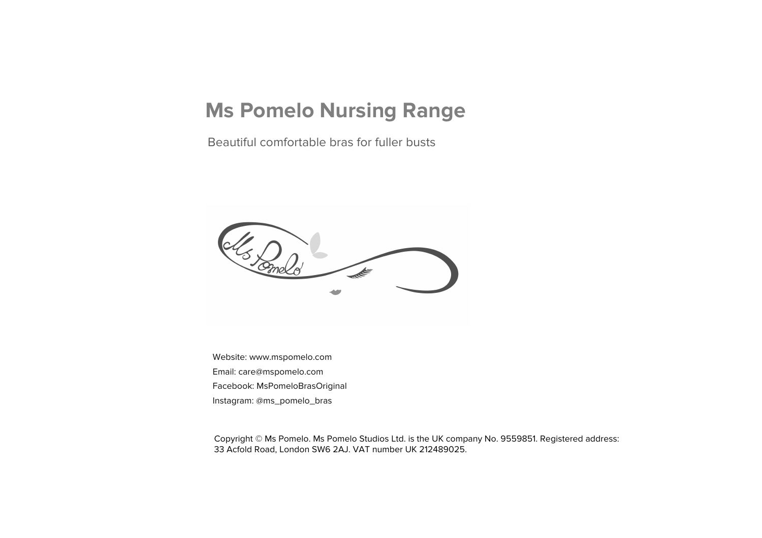### **Ms Pomelo Nursing Range**

Beautiful comfortable bras for fuller busts



Website: www.mspomelo.com Email: care@mspomelo.com Facebook: MsPomeloBrasOriginal Instagram: @ms\_pomelo\_bras

Copyright © Ms Pomelo. Ms Pomelo Studios Ltd. is the UK company No. 9559851. Registered address: 33 Acfold Road, London SW6 2AJ. VAT number UK 212489025.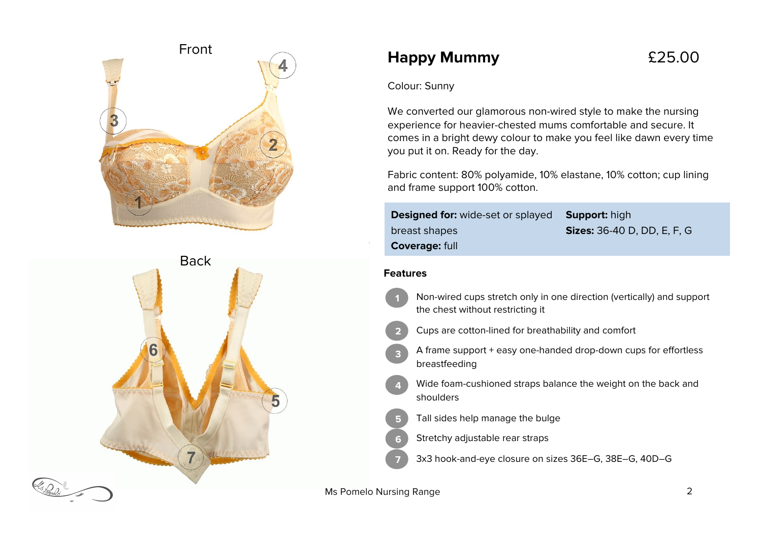



### **Happy Mummy** £25.00

Colour: Sunny

We converted our glamorous non-wired style to make the nursing experience for heavier-chested mums comfortable and secure. It comes in a bright dewy colour to make you feel like dawn every time you put it on. Ready for the day.

Fabric content: 80% polyamide, 10% elastane, 10% cotton; cup lining and frame support 100% cotton.

| <b>Designed for:</b> wide-set or splayed <b>Support:</b> high |                                    |
|---------------------------------------------------------------|------------------------------------|
| breast shapes                                                 | <b>Sizes:</b> 36-40 D, DD, E, F, G |
| <b>Coverage: full</b>                                         |                                    |

#### **Features**

- Non-wired cups stretch only in one direction (vertically) and support the chest without restricting it **1**
- Cups are cotton-lined for breathability and comfort **2**
- A frame support + easy one-handed drop-down cups for effortless breastfeeding **3**
- Wide foam-cushioned straps balance the weight on the back and shoulders **4**
- Tall sides help manage the bulge **5**
- Stretchy adjustable rear straps **6**
	- 3x3 hook-and-eye closure on sizes 36E–G, 38E–G, 40D–G

Ms Pomelo Nursing Range 2014 2015 2022

**7**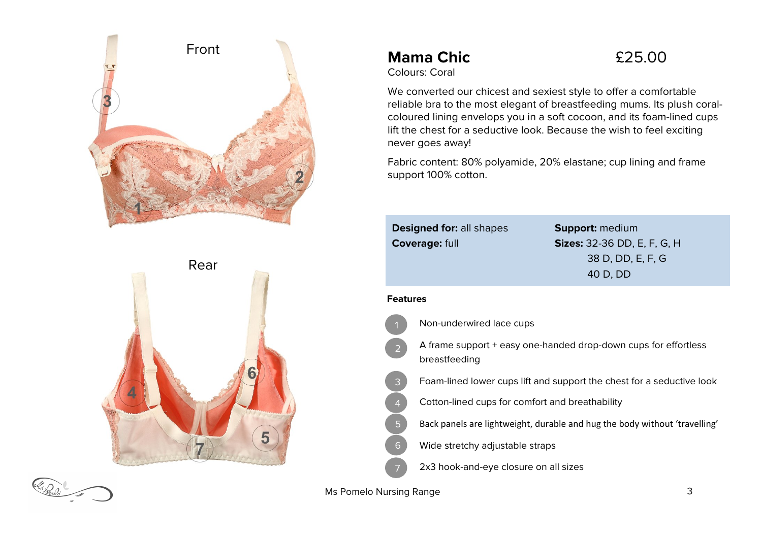

# Rear 5

### **Mama Chic**  $£25.00$



We converted our chicest and sexiest style to offer a comfortable reliable bra to the most elegant of breastfeeding mums. Its plush coralcoloured lining envelops you in a soft cocoon, and its foam-lined cups lift the chest for a seductive look. Because the wish to feel exciting never goes away!

Fabric content: 80% polyamide, 20% elastane; cup lining and frame support 100% cotton.

|                 | <b>Designed for: all shapes</b><br><b>Coverage: full</b> | <b>Support: medium</b><br><b>Sizes:</b> 32-36 DD, E, F, G, H<br>38 D, DD, E, F, G<br>40 D, DD |
|-----------------|----------------------------------------------------------|-----------------------------------------------------------------------------------------------|
| <b>Features</b> |                                                          |                                                                                               |
|                 | Non-underwired lace cups                                 |                                                                                               |
| 2               | breastfeeding                                            | A frame support + easy one-handed drop-down cups for effortless                               |
| 3               |                                                          | Foam-lined lower cups lift and support the chest for a seductive look                         |
| 4               | Cotton-lined cups for comfort and breathability          |                                                                                               |
| 5               |                                                          | Back panels are lightweight, durable and hug the body without 'travelling'                    |
| 6               | Wide stretchy adjustable straps                          |                                                                                               |
|                 | 2x3 hook-and-eye closure on all sizes                    |                                                                                               |



Ms Pomelo Nursing Range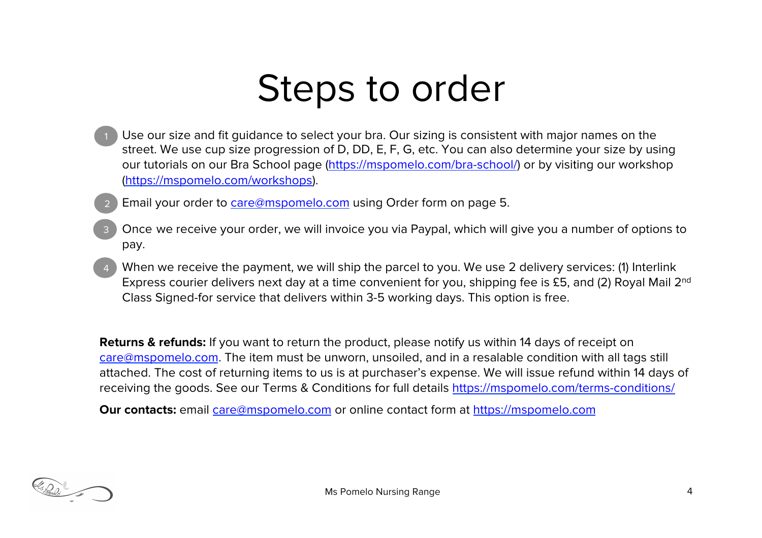## Steps to order

- Use our size and fit guidance to select your bra. Our sizing is consistent with major names on the street. We use cup size progression of D, DD, E, F, G, etc. You can also determine your size by using our tutorials on our Bra School page (https://mspomelo.com/bra-school/) or by visiting our workshop (https://mspomelo.com/workshops).
	- Email your order to care@mspomelo.com using Order form on page 5. 2
- Once we receive your order, we will invoice you via Paypal, which will give you a number of options to pay. 3
- When we receive the payment, we will ship the parcel to you. We use 2 delivery services: (1) Interlink Express courier delivers next day at a time convenient for you, shipping fee is £5, and (2) Royal Mail 2<sup>nd</sup> Class Signed-for service that delivers within 3-5 working days. This option is free. 4

**Returns & refunds:** If you want to return the product, please notify us within 14 days of receipt on care@mspomelo.com. The item must be unworn, unsoiled, and in a resalable condition with all tags still attached. The cost of returning items to us is at purchaser's expense. We will issue refund within 14 days of receiving the goods. See our Terms & Conditions for full details https://mspomelo.com/terms-conditions/

**Our contacts:** email care@mspomelo.com or online contact form at https://mspomelo.com